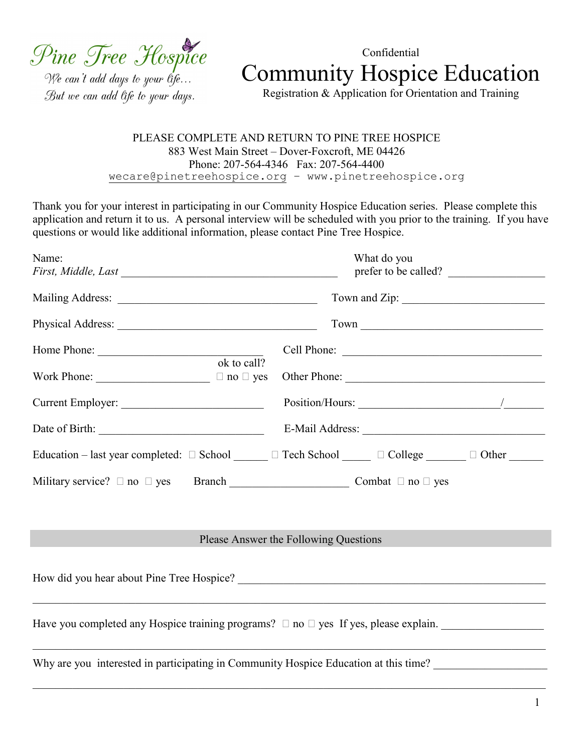Pine Tree Hospice

We can't add days to your life... But we can add life to your days.

Confidential Community Hospice Education

Registration & Application for Orientation and Training

## PLEASE COMPLETE AND RETURN TO PINE TREE HOSPICE 883 West Main Street – Dover-Foxcroft, ME 04426 Phone: 207-564-4346 Fax: 207-564-4400 wecare@pinetreehospice.org – www.pinetreehospice.org

Thank you for your interest in participating in our Community Hospice Education series. Please complete this application and return it to us. A personal interview will be scheduled with you prior to the training. If you have questions or would like additional information, please contact Pine Tree Hospice.

| Name:                                         | What do you<br>prefer to be called?                                                                  |  |  |  |  |  |
|-----------------------------------------------|------------------------------------------------------------------------------------------------------|--|--|--|--|--|
|                                               |                                                                                                      |  |  |  |  |  |
|                                               |                                                                                                      |  |  |  |  |  |
|                                               |                                                                                                      |  |  |  |  |  |
| ok to call?                                   |                                                                                                      |  |  |  |  |  |
| Current Employer:                             | Position/Hours: $\frac{1}{2}$                                                                        |  |  |  |  |  |
| Date of Birth:                                |                                                                                                      |  |  |  |  |  |
|                                               | Education – last year completed: $\Box$ School $\Box$ Tech School $\Box$ $\Box$ College $\Box$ Other |  |  |  |  |  |
| Military service? $\Box$ no $\Box$ yes Branch | Combat $\Box$ no $\Box$ yes                                                                          |  |  |  |  |  |

## Please Answer the Following Questions

How did you hear about Pine Tree Hospice? \_\_\_\_\_\_\_\_\_\_\_\_\_\_\_\_\_\_\_\_\_\_\_\_\_\_\_\_\_\_\_\_\_\_\_\_\_\_\_\_\_\_\_\_\_\_\_\_\_\_\_\_\_\_  $\_$  , and the contribution of the contribution of the contribution of the contribution of the contribution of  $\mathcal{L}_\text{max}$ Have you completed any Hospice training programs?  $\Box$  no  $\Box$  yes If yes, please explain.  $\_$  , and the contribution of the contribution of the contribution of the contribution of the contribution of  $\mathcal{L}_\text{max}$ Why are you interested in participating in Community Hospice Education at this time?

 $\_$  , and the contribution of the contribution of the contribution of the contribution of the contribution of  $\mathcal{L}_\text{max}$